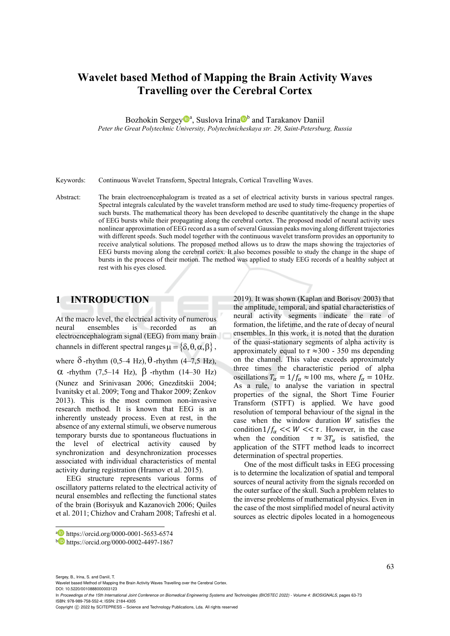# **Wavelet based Method of Mapping the Brain Activity Waves Travelling over the Cerebral Cortex**

Bozhokin Sergey<sup>®</sup>, Suslova Irina<sup>®</sup> and Tarakanov Daniil

*Peter the Great Polytechnic University, Polytechnicheskaya str. 29, Saint-Petersburg, Russia* 

Keywords: Continuous Wavelet Transform, Spectral Integrals, Cortical Travelling Waves.

Abstract: The brain electroencephalogram is treated as a set of electrical activity bursts in various spectral ranges. Spectral integrals calculated by the wavelet transform method are used to study time-frequency properties of such bursts. The mathematical theory has been developed to describe quantitatively the change in the shape of EEG bursts while their propagating along the cerebral cortex. The proposed model of neural activity uses nonlinear approximation of EEG record as a sum of several Gaussian peaks moving along different trajectories with different speeds. Such model together with the continuous wavelet transform provides an opportunity to receive analytical solutions. The proposed method allows us to draw the maps showing the trajectories of EEG bursts moving along the cerebral cortex. It also becomes possible to study the change in the shape of bursts in the process of their motion. The method was applied to study EEG records of a healthy subject at rest with his eyes closed.

## **1 INTRODUCTION**

At the macro level, the electrical activity of numerous neural ensembles is recorded as an electroencephalogram signal (EEG) from many brain channels in different spectral ranges  $\mu = \{\delta, \theta, \alpha, \beta\},\,$ where  $\delta$ -rhythm (0,5–4 Hz),  $\theta$ -rhythm (4–7,5 Hz),  $\alpha$  -rhythm (7,5–14 Hz),  $\beta$  -rhythm (14–30 Hz) (Nunez and Srinivasan 2006; Gnezditskii 2004; Ivanitsky et al. 2009; Tong and Thakor 2009; Zenkov 2013). This is the most common non-invasive research method. It is known that EEG is an inherently unsteady process. Even at rest, in the absence of any external stimuli, we observe numerous temporary bursts due to spontaneous fluctuations in the level of electrical activity caused by synchronization and desynchronization processes associated with individual characteristics of mental activity during registration (Hramov et al. 2015).

EEG structure represents various forms of oscillatory patterns related to the electrical activity of neural ensembles and reflecting the functional states of the brain (Borisyuk and Kazanovich 2006; Quiles et al. 2011; Chizhov and Craham 2008; Tafreshi et al.

One of the most difficult tasks in EEG processing is to determine the localization of spatial and temporal sources of neural activity from the signals recorded on the outer surface of the skull. Such a problem relates to the inverse problems of mathematical physics. Even in the case of the most simplified model of neural activity sources as electric dipoles located in a homogeneous

Sergey, B., Irina, S. and Daniil, T.

Wavelet based Method of Mapping the Brain Activity Waves Travelling over the Cerebral Cortex.

DOI: 10.5220/0010888000003123 In *Proceedings of the 15th International Joint Conference on Biomedical Engineering Systems and Technologies (BIOSTEC 2022) - Volume 4: BIOSIGNALS*, pages 63-73 ISBN: 978-989-758-552-4; ISSN: 2184-4305

<sup>2019).</sup> It was shown (Kaplan and Borisov 2003) that the amplitude, temporal, and spatial characteristics of neural activity segments indicate the rate of formation, the lifetime, and the rate of decay of neural ensembles. In this work, it is noted that the duration of the quasi-stationary segments of alpha activity is approximately equal to  $\tau \approx 300$  - 350 ms depending on the channel. This value exceeds approximately three times the characteristic period of alpha oscillations  $T_{\alpha} = 1/f_{\alpha} \approx 100$  ms, where  $f_{\alpha} = 10$ Hz. As a rule, to analyse the variation in spectral properties of the signal, the Short Time Fourier Transform (STFT) is applied. We have good resolution of temporal behaviour of the signal in the case when the window duration  $W$  satisfies the condition  $1/f_{\alpha}$  << W <<  $\tau$ . However, in the case when the condition  $\tau \approx 3T_{\alpha}$  is satisfied, the application of the STFT method leads to incorrect determination of spectral properties.

a https://orcid.org/0000-0001-5653-6574<br>b https://orcid.org/0000-0002-4497-1867

Copyright (C) 2022 by SCITEPRESS - Science and Technology Publications, Lda. All rights reserved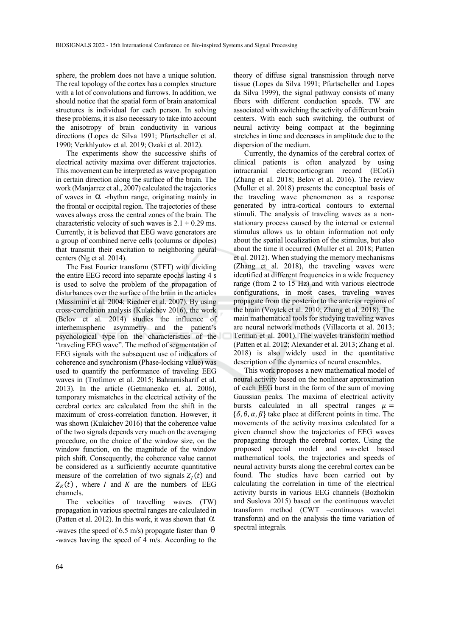sphere, the problem does not have a unique solution. The real topology of the cortex has a complex structure with a lot of convolutions and furrows. In addition, we should notice that the spatial form of brain anatomical structures is individual for each person. In solving these problems, it is also necessary to take into account the anisotropy of brain conductivity in various directions (Lopes de Silva 1991; Pfurtscheller et al. 1990; Verkhlyutov et al. 2019; Ozaki et al. 2012).

The experiments show the successive shifts of electrical activity maxima over different trajectories. This movement can be interpreted as wave propagation in certain direction along the surface of the brain. The work (Manjarrez et al., 2007) calculated the trajectories of waves in  $\alpha$  -rhythm range, originating mainly in the frontal or occipital region. The trajectories of these waves always cross the central zones of the brain. The characteristic velocity of such waves is  $2.1 \pm 0.29$  ms. Currently, it is believed that EEG wave generators are a group of combined nerve cells (columns or dipoles) that transmit their excitation to neighboring neural centers (Ng et al. 2014).

The Fast Fourier transform (STFT) with dividing the entire EEG record into separate epochs lasting 4 s is used to solve the problem of the propagation of disturbances over the surface of the brain in the articles (Massimini et al. 2004; Riedner et al. 2007). By using cross-correlation analysis (Kulaichev 2016), the work (Belov et al. 2014) studies the influence of interhemispheric asymmetry and the patient's psychological type on the characteristics of the "traveling EEG wave". The method of segmentation of EEG signals with the subsequent use of indicators of coherence and synchronism (Phase-locking value) was used to quantify the performance of traveling EEG waves in (Trofimov et al. 2015; Bahramisharif et al. 2013). In the article (Getmanenko et. al. 2006), temporary mismatches in the electrical activity of the cerebral cortex are calculated from the shift in the maximum of cross-correlation function. However, it was shown (Kulaichev 2016) that the coherence value of the two signals depends very much on the averaging procedure, on the choice of the window size, on the window function, on the magnitude of the window pitch shift. Consequently, the coherence value cannot be considered as a sufficiently accurate quantitative measure of the correlation of two signals  $Z_l(t)$  and  $Z_K(t)$ , where I and K are the numbers of EEG channels.

The velocities of travelling waves (TW) propagation in various spectral ranges are calculated in (Patten et al. 2012). In this work, it was shown that  $\alpha$ -waves (the speed of 6.5 m/s) propagate faster than  $\theta$ -waves having the speed of 4 m/s. According to the

theory of diffuse signal transmission through nerve tissue (Lopes da Silva 1991; Pfurtscheller and Lopes da Silva 1999), the signal pathway consists of many fibers with different conduction speeds. TW are associated with switching the activity of different brain centers. With each such switching, the outburst of neural activity being compact at the beginning stretches in time and decreases in amplitude due to the dispersion of the medium.

Currently, the dynamics of the cerebral cortex of clinical patients is often analyzed by using intracranial electrocorticogram record (ECoG) (Zhang et al. 2018; Belov et al. 2016). The review (Muller et al. 2018) presents the conceptual basis of the traveling wave phenomenon as a response generated by intra-cortical contours to external stimuli. The analysis of traveling waves as a nonstationary process caused by the internal or external stimulus allows us to obtain information not only about the spatial localization of the stimulus, but also about the time it occurred (Muller et al. 2018; Patten et al. 2012). When studying the memory mechanisms (Zhang et al. 2018), the traveling waves were identified at different frequencies in a wide frequency range (from 2 to 15 Hz) and with various electrode configurations, in most cases, traveling waves propagate from the posterior to the anterior regions of the brain (Voytek et al. 2010; Zhang et al. 2018). The main mathematical tools for studying traveling waves are neural network methods (Villacorta et al. 2013; Terman et al. 2001). The wavelet transform method (Patten et al. 2012; Alexander et al. 2013; Zhang et al. 2018) is also widely used in the quantitative description of the dynamics of neural ensembles.

This work proposes a new mathematical model of neural activity based on the nonlinear approximation of each EEG burst in the form of the sum of moving Gaussian peaks. The maxima of electrical activity bursts calculated in all spectral ranges  $\mu =$  $\{\delta, \theta, \alpha, \beta\}$  take place at different points in time. The movements of the activity maxima calculated for a given channel show the trajectories of EEG waves propagating through the cerebral cortex. Using the proposed special model and wavelet based mathematical tools, the trajectories and speeds of neural activity bursts along the cerebral cortex can be found. The studies have been carried out by calculating the correlation in time of the electrical activity bursts in various EEG channels (Bozhokin and Suslova 2015) based on the continuous wavelet transform method (CWT –continuous wavelet transform) and on the analysis the time variation of spectral integrals.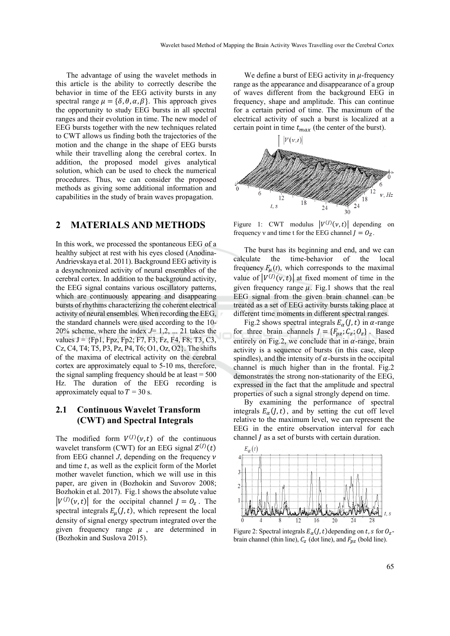The advantage of using the wavelet methods in this article is the ability to correctly describe the behavior in time of the EEG activity bursts in any spectral range  $\mu = {\delta, \theta, \alpha, \beta}$ . This approach gives the opportunity to study EEG bursts in all spectral ranges and their evolution in time. The new model of EEG bursts together with the new techniques related to CWT allows us finding both the trajectories of the motion and the change in the shape of EEG bursts while their travelling along the cerebral cortex. In addition, the proposed model gives analytical solution, which can be used to check the numerical procedures. Thus, we can consider the proposed methods as giving some additional information and capabilities in the study of brain waves propagation.

## **2 MATERIALS AND METHODS**

In this work, we processed the spontaneous EEG of a healthy subject at rest with his eyes closed (Anodina-Andrievskaya et al. 2011). Background EEG activity is a desynchronized activity of neural ensembles of the cerebral cortex. In addition to the background activity, the EEG signal contains various oscillatory patterns, which are continuously appearing and disappearing bursts of rhythms characterizing the coherent electrical activity of neural ensembles. When recording the EEG, the standard channels were used according to the 10- 20% scheme, where the index  $J=1,2,...,21$  takes the values  $J = \{Fp1, Fpz, Fp2, F7, F3, Fz, F4, F8, T3, C3,$ Cz, C4, T4; T5, P3, Pz, P4, T6; O1, Oz, O2}. The shifts of the maxima of electrical activity on the cerebral cortex are approximately equal to 5-10 ms, therefore, the signal sampling frequency should be at least  $= 500$ Hz. The duration of the EEG recording is approximately equal to  $T = 30$  s.

## **2.1 Continuous Wavelet Transform (CWT) and Spectral Integrals**

The modified form  $V^{(1)}(\nu, t)$  of the continuous wavelet transform (CWT) for an EEG signal  $Z^{(J)}(t)$ from EEG channel  $J$ , depending on the frequency  $\nu$ and time  $t$ , as well as the explicit form of the Morlet mother wavelet function, which we will use in this paper, are given in (Bozhokin and Suvorov 2008; Bozhokin et al. 2017). Fig.1 shows the absolute value  $|V^{(J)}(\nu, t)|$  for the occipital channel  $J = 0_z$ . The spectral integrals  $E_u(J, t)$ , which represent the local density of signal energy spectrum integrated over the given frequency range  $\mu$ , are determined in (Bozhokin and Suslova 2015).

We define a burst of EEG activity in  $\mu$ -frequency range as the appearance and disappearance of a group of waves different from the background EEG in frequency, shape and amplitude. This can continue for a certain period of time. The maximum of the electrical activity of such a burst is localized at a certain point in time  $t_{max}$  (the center of the burst).



Figure 1: CWT modulus  $|V^{(1)}(v,t)|$  depending on frequency v and time t for the EEG channel  $J = O_Z$ .

The burst has its beginning and end, and we can calculate the time-behavior of the local frequency  $F_{\mu}(t)$ , which corresponds to the maximal value of  $|V^{(J)}(\nu, t)|$  at fixed moment of time in the given frequency range  $\mu$ . Fig.1 shows that the real EEG signal from the given brain channel can be treated as a set of EEG activity bursts taking place at different time moments in different spectral ranges.

Fig.2 shows spectral integrals  $E_{\alpha}(J, t)$  in  $\alpha$ -range for three brain channels  $J = \{F_{pz}; C_z; O_z\}$ . Based entirely on Fig.2, we conclude that in  $\alpha$ -range, brain activity is a sequence of bursts (in this case, sleep spindles), and the intensity of  $\alpha$ -bursts in the occipital channel is much higher than in the frontal. Fig.2 demonstrates the strong non-stationarity of the EEG, expressed in the fact that the amplitude and spectral properties of such a signal strongly depend on time.

By examining the performance of spectral integrals  $E_{\alpha}(J, t)$ , and by setting the cut off level relative to the maximum level, we can represent the EEG in the entire observation interval for each channel  *as a set of bursts with certain duration.* 



Figure 2: Spectral integrals  $E_{\alpha}(J, t)$  depending on t, s for  $O_{z}$ brain channel (thin line),  $C_z$  (dot line), and  $F_{pz}$  (bold line).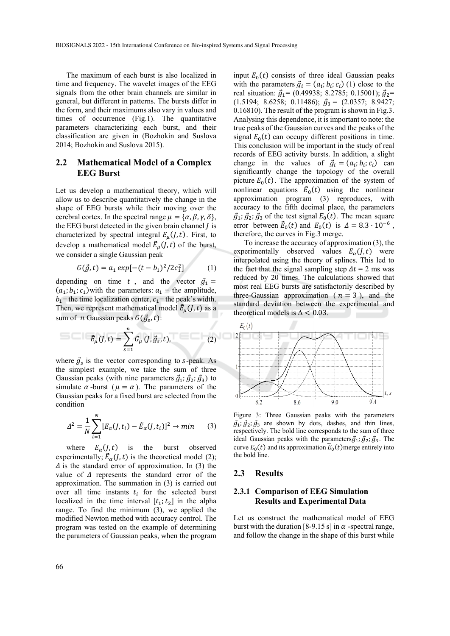The maximum of each burst is also localized in time and frequency. The wavelet images of the EEG signals from the other brain channels are similar in general, but different in patterns. The bursts differ in the form, and their maximums also vary in values and times of occurrence (Fig.1). The quantitative parameters characterizing each burst, and their classification are given in (Bozhokin and Suslova 2014; Bozhokin and Suslova 2015).

### **2.2 Mathematical Model of a Complex EEG Burst**

Let us develop a mathematical theory, which will allow us to describe quantitatively the change in the shape of EEG bursts while their moving over the cerebral cortex. In the spectral range  $\mu = {\alpha, \beta, \gamma, \delta}$ , the EEG burst detected in the given brain channel  *is* characterized by spectral integral  $E_u(J, t)$ . First, to develop a mathematical model  $\tilde{E}_{\mu}(J,t)$  of the burst, we consider a single Gaussian peak

$$
G(\vec{g}, t) = a_1 \exp[-(t - b_1)^2 / 2c_1^2] \tag{1}
$$

depending on time t, and the vector  $\vec{g}_1$  =  $(a_1; b_1; c_1)$  with the parameters:  $a_1$  – the amplitude,  $b_1$ − the time localization center,  $c_1$ − the peak's width. Then, we represent mathematical model  $\tilde{E}_{\mu}(J,t)$  as a sum of *n* Gaussian peaks  $G(\vec{g}_s, t)$ :

$$
\tilde{E}_{\mu}(J,t) = \sum_{s=1}^{n} G_{\mu}(J,\vec{g}_s,t),
$$
 (2)

where  $\vec{g}_s$  is the vector corresponding to s-peak. As the simplest example, we take the sum of three Gaussian peaks (with nine parameters  $\vec{g}_1$ ;  $\vec{g}_2$ ;  $\vec{g}_3$ ) to simulate  $\alpha$ -burst ( $\mu = \alpha$ ). The parameters of the Gaussian peaks for a fixed burst are selected from the condition

$$
\Delta^2 = \frac{1}{N} \sum_{i=1}^{N} [E_{\alpha}(J, t_i) - \tilde{E}_{\alpha}(J, t_i)]^2 \to \min \qquad (3)
$$

where  $E_{\alpha}(J, t)$  is the burst observed experimentally;  $\tilde{E}_{\alpha}(J, t)$  is the theoretical model (2);  $\Delta$  is the standard error of approximation. In (3) the value of  $\Delta$  represents the standard error of the approximation. The summation in (3) is carried out over all time instants  $t_i$  for the selected burst localized in the time interval  $[t_1; t_2]$  in the alpha range. To find the minimum (3), we applied the modified Newton method with accuracy control. The program was tested on the example of determining the parameters of Gaussian peaks, when the program

input  $E_0(t)$  consists of three ideal Gaussian peaks with the parameters  $\vec{g}_i = (a_i; b_i; c_i)$  (1) close to the real situation:  $\vec{g}_1$ = (0.49938; 8.2785; 0.15001);  $\vec{g}_2$ =  $(1.5194; 8.6258; 0.11486); \ \mathcal{B}_3 = (2.0357; 8.9427;$ 0.16810). The result of the program is shown in Fig.3. Analysing this dependence, it is important to note: the true peaks of the Gaussian curves and the peaks of the signal  $E_0(t)$  can occupy different positions in time. This conclusion will be important in the study of real records of EEG activity bursts. In addition, a slight change in the values of  $\vec{g}_i = (a_i; b_i; c_i)$  can significantly change the topology of the overall picture  $E_0(t)$ . The approximation of the system of nonlinear equations  $\tilde{E}_0(t)$  using the nonlinear approximation program (3) reproduces, with accuracy to the fifth decimal place, the parameters  $\vec{g}_1$ ;  $\vec{g}_2$ ;  $\vec{g}_3$  of the test signal  $E_0(t)$ . The mean square error between  $\tilde{E}_0(t)$  and  $E_0(t)$  is  $\Delta = 8.3 \cdot 10^{-6}$ , therefore, the curves in Fig.3 merge.

To increase the accuracy of approximation (3), the experimentally observed values  $E_{\alpha}(J, t)$  were interpolated using the theory of splines. This led to the fact that the signal sampling step  $\Delta t = 2$  ms was reduced by 20 times. The calculations showed that most real EEG bursts are satisfactorily described by three-Gaussian approximation ( $n = 3$ ), and the standard deviation between the experimental and theoretical models is  $\Delta < 0.03$ .



Figure 3: Three Gaussian peaks with the parameters  $\vec{g}_1$ ;  $\vec{g}_2$ ;  $\vec{g}_3$  are shown by dots, dashes, and thin lines, respectively. The bold line corresponds to the sum of three ideal Gaussian peaks with the parameters  $\vec{g}_1$ ;  $\vec{g}_2$ ;  $\vec{g}_3$ . The curve  $E_0(t)$  and its approximation  $\tilde{E}_0(t)$  merge entirely into the bold line.

#### **2.3 Results**

#### **2.3.1 Comparison of EEG Simulation Results and Experimental Data**

Let us construct the mathematical model of EEG burst with the duration [8-9.15 s] in  $\alpha$  -spectral range, and follow the change in the shape of this burst while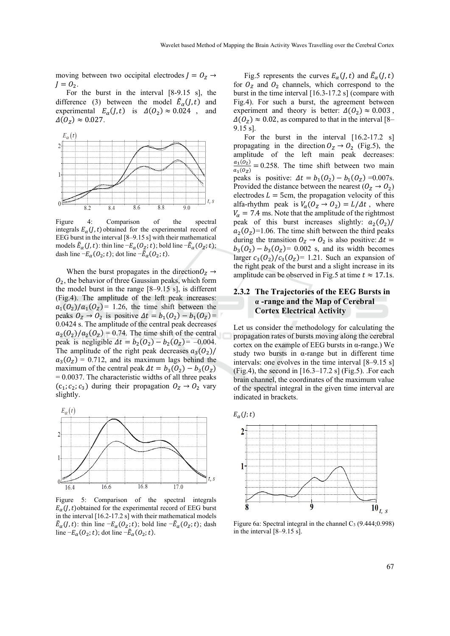moving between two occipital electrodes  $J = 0_z \rightarrow$  $J = \mathcal{O}_2$ .

For the burst in the interval [8-9.15 s], the difference (3) between the model  $\tilde{E}_{\alpha}(J, t)$  and experimental  $E_{\alpha}(J, t)$  is  $\Delta(O_2) \approx 0.024$ , and  $\Delta(O_Z) \approx 0.027$ .



Figure 4: Comparison of the spectral integrals  $E_{\alpha}(I, t)$  obtained for the experimental record of EEG burst in the interval [8–9.15 s] with their mathematical models  $\tilde{E}_{\alpha}(J, t)$ : thin line  $-E_{\alpha}(O_{Z}; t)$ ; bold line  $-\tilde{E}_{\alpha}(O_{Z}; t)$ ; dash line  $-E_{\alpha}(0_2; t)$ ; dot line  $-\tilde{E}_{\alpha}(0_2; t)$ .

When the burst propagates in the direction  $O_Z \rightarrow$  $O<sub>2</sub>$ , the behavior of three Gaussian peaks, which form the model burst in the range [8–9.15 s], is different (Fig.4). The amplitude of the left peak increases:  $a_1(0_2)/a_1(0_2)$  = 1.26, the time shift between the peaks  $0_Z \rightarrow 0_2$  is positive  $\Delta t = b_1(0_2) - b_1(0_2) =$ 0.0424 s. The amplitude of the central peak decreases  $a_2(0_2)/a_2(0_2) = 0.74$ . The time shift of the central peak is negligible  $\Delta t = b_2(O_2) - b_2(O_{\rm z}) = -0.004$ . The amplitude of the right peak decreases  $a_3(0_2)$ /  $a_3(0_7) = 0.712$ , and its maximum lags behind the maximum of the central peak  $\Delta t = b_3(O_2) - b_3(O_7)$  $= 0.0037$ . The characteristic widths of all three peaks  $(c_1, c_2, c_3)$  during their propagation  $0_Z \rightarrow 0_2$  vary slightly.



Figure 5: Comparison of the spectral integrals  $E_{\alpha}(J, t)$  obtained for the experimental record of EEG burst in the interval [16.2-17.2 s] with their mathematical models  $\tilde{E}_{\alpha}(J, t)$ : thin line  $-E_{\alpha}(O_{Z}; t)$ ; bold line  $-\tilde{E}_{\alpha}(O_{Z}; t)$ ; dash line  $-E_{\alpha}(0_2; t)$ ; dot line  $-\tilde{E}_{\alpha}(0_2; t)$ .

Fig.5 represents the curves  $E_{\alpha}(J, t)$  and  $\tilde{E}_{\alpha}(J, t)$ for  $O<sub>Z</sub>$  and  $O<sub>2</sub>$  channels, which correspond to the burst in the time interval [16.3-17.2 s] (compare with Fig.4). For such a burst, the agreement between experiment and theory is better:  $\Delta(O_2) \approx 0.003$ ,  $\Delta(O_z) \approx 0.02$ , as compared to that in the interval [8– 9.15 s].

For the burst in the interval [16.2-17.2 s] propagating in the direction  $O_Z \rightarrow O_2$  (Fig.5), the amplitude of the left main peak decreases:  $\frac{a_1(0_2)}{a_1(0_2)} = 0.258$ . The time shift between two main peaks is positive:  $\Delta t = b_1(O_2) - b_1(O_Z) = 0.007$ s. Provided the distance between the nearest ( $O_Z \rightarrow O_2$ ) electrodes  $L = 5$ cm, the propagation velocity of this alfa-rhythm peak is  $V_a$  ( $O_z \rightarrow O_2$ ) =  $L/\Delta t$ , where  $V_{\alpha}$  = 7.4 ms. Note that the amplitude of the rightmost peak of this burst increases slightly:  $a_2(0_2)$ /  $a_2(0_7)=1.06$ . The time shift between the third peaks during the transition  $O_Z \rightarrow O_2$  is also positive:  $\Delta t =$  $b_3$ ( $\theta_2$ ) –  $b_3$ ( $\theta_7$ ) = 0.002 s, and its width becomes larger  $c_3(0_2)/c_3(0_2)$ = 1.21. Such an expansion of the right peak of the burst and a slight increase in its amplitude can be observed in Fig.5 at time  $t \approx 17.1$ s.

#### **2.3.2 The Trajectories of the EEG Bursts in α -range and the Map of Cerebral Cortex Electrical Activity**

Let us consider the methodology for calculating the propagation rates of bursts moving along the cerebral cortex on the example of EEG bursts in α-range.) We study two bursts in α-range but in different time intervals: one evolves in the time interval [8–9.15 s]  $(Fi)$ , the second in  $[16.3-17.2 \text{ s}]$  (Fig.5). For each brain channel, the coordinates of the maximum value of the spectral integral in the given time interval are indicated in brackets.



Figure 6a: Spectral integral in the channel  $C_3$  (9.444;0.998) in the interval [8–9.15 s].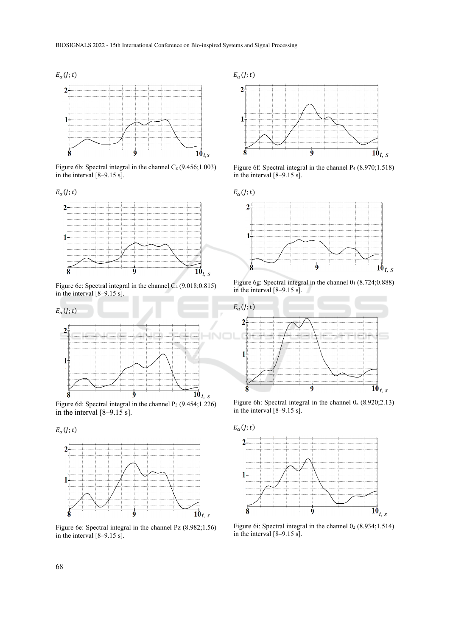

Figure 6b: Spectral integral in the channel  $C_z$  (9.456;1.003) in the interval [8–9.15 s].



Figure 6c: Spectral integral in the channel  $C_4$  (9.018;0.815) in the interval  $[8-9.15 \text{ s}]$ .



Figure 6d: Spectral integral in the channel P3 (9.454;1.226) in the interval [8–9.15 s].

 $E_{\alpha}(j; t)$ 



Figure 6e: Spectral integral in the channel Pz (8.982;1.56) in the interval [8–9.15 s].



Figure 6f: Spectral integral in the channel P4 (8.970;1.518) in the interval [8–9.15 s].



Figure 6g: Spectral integral in the channel 01 (8.724;0.888) in the interval [8–9.15 s].



Figure 6h: Spectral integral in the channel  $0_z$  (8.920;2.13) in the interval [8–9.15 s].



Figure 6i: Spectral integral in the channel  $0_2$  (8.934;1.514) in the interval  $[8-9.15 \text{ s}]$ .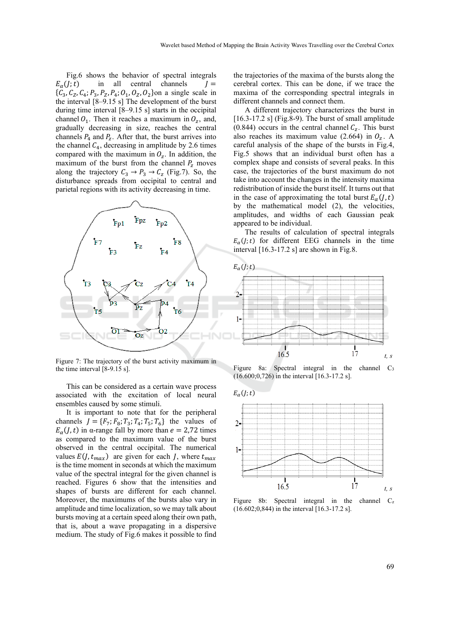Fig.6 shows the behavior of spectral integrals  $E_{\alpha}(j; t)$  in all central channels  $J =$  $\{C_3, C_2, C_4; P_3, P_7, P_4; O_1, O_7, O_2\}$ on a single scale in the interval  $[8-9.15 \text{ s}]$  The development of the burst during time interval [8–9.15 s] starts in the occipital channel  $O_1$ . Then it reaches a maximum in  $O_z$ , and, gradually decreasing in size, reaches the central channels  $P_4$  and  $P_7$ . After that, the burst arrives into the channel  $C_4$ , decreasing in amplitude by 2.6 times compared with the maximum in  $O_z$ . In addition, the maximum of the burst from the channel  $P_{\rm z}$  moves along the trajectory  $C_3 \rightarrow P_3 \rightarrow C_z$  (Fig.7). So, the disturbance spreads from occipital to central and parietal regions with its activity decreasing in time.



Figure 7: The trajectory of the burst activity maximum in the time interval [8-9.15 s].

This can be considered as a certain wave process associated with the excitation of local neural ensembles caused by some stimuli.

It is important to note that for the peripheral channels  $J = \{F_7; F_8; T_3; T_4; T_5; T_6\}$  the values of  $E_{\alpha}(I, t)$  in α-range fall by more than  $e = 2.72$  times as compared to the maximum value of the burst observed in the central occipital. The numerical values  $E(J, t_{max})$  are given for each *J*, where  $t_{max}$ is the time moment in seconds at which the maximum value of the spectral integral for the given channel is reached. Figures 6 show that the intensities and shapes of bursts are different for each channel. Moreover, the maximums of the bursts also vary in amplitude and time localization, so we may talk about bursts moving at a certain speed along their own path, that is, about a wave propagating in a dispersive medium. The study of Fig.6 makes it possible to find

the trajectories of the maxima of the bursts along the cerebral cortex. This can be done, if we trace the maxima of the corresponding spectral integrals in different channels and connect them.

A different trajectory characterizes the burst in [16.3-17.2 s] (Fig.8-9). The burst of small amplitude (0.844) occurs in the central channel  $C_z$ . This burst also reaches its maximum value (2.664) in  $O_z$ . A careful analysis of the shape of the bursts in Fig.4, Fig.5 shows that an individual burst often has a complex shape and consists of several peaks. In this case, the trajectories of the burst maximum do not take into account the changes in the intensity maxima redistribution of inside the burst itself. It turns out that in the case of approximating the total burst  $E_{\alpha}(I, t)$ by the mathematical model (2), the velocities, amplitudes, and widths of each Gaussian peak appeared to be individual.

The results of calculation of spectral integrals  $E_{\alpha}(l; t)$  for different EEG channels in the time interval [16.3-17.2 s] are shown in Fig.8.



Figure 8a: Spectral integral in the channel C<sub>3</sub> (16.600;0,726) in the interval [16.3-17.2 s].



Figure 8b: Spectral integral in the channel  $C_z$ (16.602;0,844) in the interval [16.3-17.2 s].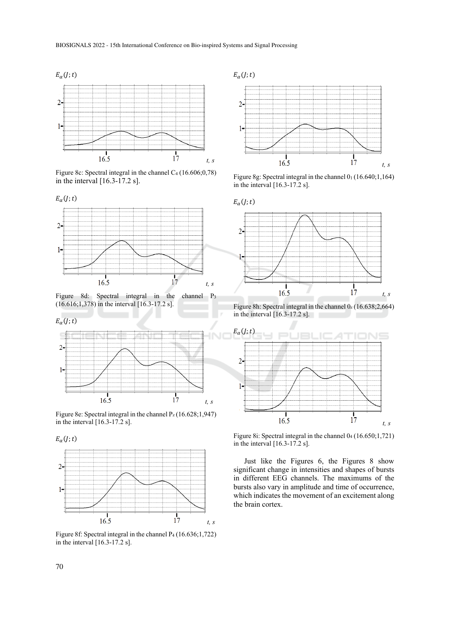

Figure 8c: Spectral integral in the channel C4 (16.606;0,78) in the interval [16.3-17.2 s].



Figure 8d: Spectral integral in the channel P3 (16.616;1,378) in the interval [16.3-17.2 s].



Figure 8e: Spectral integral in the channel  $P_z(16.628; 1,947)$ in the interval [16.3-17.2 s].





Figure 8f: Spectral integral in the channel P<sub>4</sub> (16.636;1,722) in the interval [16.3-17.2 s].



Figure 8g: Spectral integral in the channel 01 (16.640;1,164) in the interval [16.3-17.2 s].



Figure 8h: Spectral integral in the channel  $0_z$  (16.638;2,664) in the interval [16.3-17.2 s].



Figure 8i: Spectral integral in the channel 04 (16.650;1,721) in the interval [16.3-17.2 s].

Just like the Figures 6, the Figures 8 show significant change in intensities and shapes of bursts in different EEG channels. The maximums of the bursts also vary in amplitude and time of occurrence, which indicates the movement of an excitement along the brain cortex.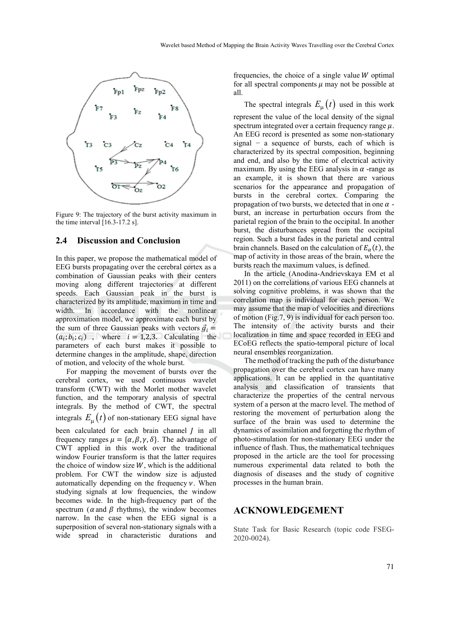

Figure 9: The trajectory of the burst activity maximum in the time interval [16.3-17.2 s].

#### **2.4 Discussion and Conclusion**

In this paper, we propose the mathematical model of EEG bursts propagating over the cerebral cortex as a combination of Gaussian peaks with their centers moving along different trajectories at different speeds. Each Gaussian peak in the burst is characterized by its amplitude, maximum in time and width. In accordance with the nonlinear approximation model, we approximate each burst by the sum of three Gaussian peaks with vectors  $\vec{q}_i$  =  $(a_i; b_i; c_i)$ , where  $i = 1,2,3$ . Calculating the parameters of each burst makes it possible to determine changes in the amplitude, shape, direction of motion, and velocity of the whole burst.

For mapping the movement of bursts over the cerebral cortex, we used continuous wavelet transform (CWT) with the Morlet mother wavelet function, and the temporary analysis of spectral integrals. By the method of CWT, the spectral integrals  $E_{\mu}(t)$  of non-stationary EEG signal have been calculated for each brain channel  *in all* frequency ranges  $\mu = {\alpha, \beta, \gamma, \delta}$ . The advantage of CWT applied in this work over the traditional window Fourier transform is that the latter requires the choice of window size  $W$ , which is the additional problem. For CWT the window size is adjusted automatically depending on the frequency  $\nu$ . When studying signals at low frequencies, the window becomes wide. In the high-frequency part of the spectrum ( $\alpha$  and  $\beta$  rhythms), the window becomes narrow. In the case when the EEG signal is a superposition of several non-stationary signals with a wide spread in characteristic durations and

frequencies, the choice of a single value  $W$  optimal for all spectral components  $\mu$  may not be possible at all.

The spectral integrals  $E_{\mu}(t)$  used in this work represent the value of the local density of the signal spectrum integrated over a certain frequency range  $\mu$ . An EEG record is presented as some non-stationary signal − a sequence of bursts, each of which is characterized by its spectral composition, beginning and end, and also by the time of electrical activity maximum. By using the EEG analysis in  $\alpha$  -range as an example, it is shown that there are various scenarios for the appearance and propagation of bursts in the cerebral cortex. Comparing the propagation of two bursts, we detected that in one  $\alpha$  burst, an increase in perturbation occurs from the parietal region of the brain to the occipital. In another burst, the disturbances spread from the occipital region. Such a burst fades in the parietal and central brain channels. Based on the calculation of  $E_{\alpha}(t)$ , the map of activity in those areas of the brain, where the bursts reach the maximum values, is defined.

In the article (Anodina-Andrievskaya EM et al 2011) on the correlations of various EEG channels at solving cognitive problems, it was shown that the correlation map is individual for each person. We may assume that the map of velocities and directions of motion (Fig.7, 9) is individual for each person too. The intensity of the activity bursts and their localization in time and space recorded in EEG and ECoEG reflects the spatio-temporal picture of local neural ensembles reorganization.

The method of tracking the path of the disturbance propagation over the cerebral cortex can have many applications. It can be applied in the quantitative analysis and classification of transients that characterize the properties of the central nervous system of a person at the macro level. The method of restoring the movement of perturbation along the surface of the brain was used to determine the dynamics of assimilation and forgetting the rhythm of photo-stimulation for non-stationary EEG under the influence of flash. Thus, the mathematical techniques proposed in the article are the tool for processing numerous experimental data related to both the diagnosis of diseases and the study of cognitive processes in the human brain.

#### **ACKNOWLEDGEMENT**

State Task for Basic Research (topic code FSEG-2020-0024).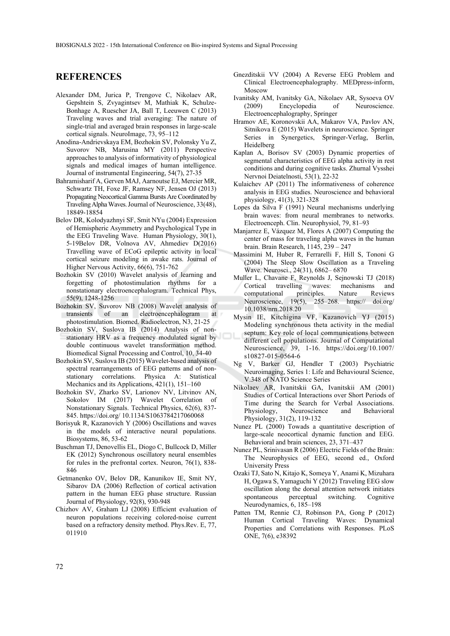## **REFERENCES**

- Alexander DM, Jurica P, Trengove C, Nikolaev AR, Gepshtein S, Zvyagintsev M, Mathiak K, Schulze-Bonhage A, Ruescher JA, Ball T, Leeuwen C (2013) Traveling waves and trial averaging: The nature of single-trial and averaged brain responses in large-scale cortical signals. NeuroImage, 73, 95–112
- Anodina-Andrievskaya EM, Bozhokin SV, Polonsky Yu Z, Suvorov NB, Marusina MY (2011) Perspective approaches to analysis of informativity of physiological signals and medical images of human intelligence. Journal of instrumental Engineering, 54(7), 27-35
- Bahramisharif A, Gerven MAJ, Aarnoutse EJ, Mercier MR, Schwartz TH, Foxe JF, Ramsey NF, Jensen OJ (2013) Propagating Neocortical Gamma Bursts Are Coordinated by Traveling Alpha Waves. Journal of Neuroscience, 33(48), 18849-18854
- Belov DR, Kolodyazhnyi SF, Smit NYu (2004) Expression of Hemispheric Asymmetry and Psychological Type in the EEG Traveling Wave. Human Physiology, 30(1), 5-19Belov DR, Volnova AV, Ahmediev D(2016) Travelling wave of ECoG epileptic activity in local cortical seizure modeling in awake rats. Journal of Higher Nervous Activity, 66(6), 751-762
- Bozhokin SV (2010) Wavelet analysis of learning and forgetting of photostimulation rhythms for a nonstationary electroencephalogram. Technical Phys, 55(9), 1248-1256
- Bozhokin SV, Suvorov NB (2008) Wavelet analysis of transients of an electroencephalogram at photostimulation. Biomed. Radioelectron, N3, 21-25
- Bozhokin SV, Suslova IB (2014) Analysis of nonstationary HRV as a frequency modulated signal by double continuous wavelet transformation method. Biomedical Signal Processing and Control, 10, 34-40
- Bozhokin SV, Suslova IB (2015) Wavelet-based analysis of spectral rearrangements of EEG patterns and of nonstationary correlations. Physica A: Statistical Mechanics and its Applications, 421(1), 151–160
- Bozhokin SV, Zharko SV, Larionov NV, Litvinov AN, Sokolov IM (2017) Wavelet Correlation of Nonstationary Signals. Technical Physics, 62(6), 837- 845. https://doi.org/ 10.1134/S1063784217060068
- Borisyuk R, Kazanovich Y (2006) Oscillations and waves in the models of interactive neural populations. Biosystems, 86, 53-62
- Buschman TJ, Denovellis EL, Diogo C, Bullcock D, Miller EK (2012) Synchronous oscillatory neural ensembles for rules in the prefrontal cortex. Neuron, 76(1), 838- 846
- Getmanenko OV, Belov DR, Kanunikov IE, Smit NY, Sibarov DA (2006) Reflection of cortical activation pattern in the human EEG phase structure. Russian Journal of Physiology, 92(8), 930-948
- Chizhov AV, Graham LJ (2008) Efficient evaluation of neuron populations receiving colored-noise current based on a refractory density method. Phys.Rev. E, 77, 011910
- Gnezditskii VV (2004) A Reverse EEG Problem and Clinical Electroencephalography. MEDpress-inform, Moscow
- Ivanitsky АМ, Ivanitsky GA, Nikolaev AR, Sysoeva OV (2009) Encyclopedia of Neuroscience. Electroencephalography, Springer
- Hramov AE, Koronovskii AA, Makarov VA, Pavlov AN, Sitnikova E (2015) Wavelets in neuroscience. Springer Series in Synergetics, Springer-Verlag, Berlin, Heidelberg
- Kaplan A, Borisov SV (2003) Dynamic properties of segmental characteristics of EEG alpha activity in rest conditions and during cognitive tasks. Zhurnal Vysshei Nervnoi Deiatelnosti, 53(1), 22-32
- Kulaichev AP (2011) The informativeness of coherence analysis in EEG studies. Neuroscience and behavioral physiology, 41(3), 321-328
- Lopes da Silva F (1991) Neural mechanisms underlying brain waves: from neural membranes to networks. Electroenceph. Clin. Neurophysiol, 79, 81–93
- Manjarrez E, Vázquez M, Flores A (2007) Computing the center of mass for traveling alpha waves in the human brain. Brain Research, 1145, 239 – 247
- Massimini M, Huber R, Ferrarelli F, Hill S, Tononi G (2004) The Sleep Slow Oscillation as a Traveling Wave. Neurosci., 24(31), 6862– 6870
- Muller L, Chavane F, Reynolds J, Sejnowski TJ (2018) Cortical travelling waves: mechanisms and<br>computational principles. Nature Reviews computational principles. Nature Reviews Neuroscience, 19(5), 255–268. https:// doi.org/ 10.1038/nrn.2018.20
- Mysin IE, Kitchigina VF, Kazanovich YJ (2015) Modeling synchronous theta activity in the medial septum: Key role of local communications between different cell populations. Journal of Computational Neuroscience, 39, 1-16. https://doi.org/10.1007/ s10827-015-0564-6
- Ng V, Barker GJ, Hendler T (2003) Psychiatric Neuroimaging, Series 1: Life and Behavioural Science, V.348 of NATO Science Series
- Nikolaev AR, Ivanitskii GA, Ivanitskii AM (2001) Studies of Cortical Interactions over Short Periods of Time during the Search for Verbal Associations. Physiology, Neuroscience and Behavioral Physiology, 31(2), 119-132
- Nunez PL (2000) Towads a quantitative description of large-scale neocortical dynamic function and EEG. Behavioral and brain sciences, 23, 371–437
- Nunez PL, Srinivasan R (2006) Electric Fields of the Brain: The Neurophysics of EEG, second ed., Oxford University Press
- Ozaki TJ, Sato N, Kitajo K, Someya Y, Anami K, Mizuhara H, Ogawa S, Yamaguchi Y (2012) Traveling EEG slow oscillation along the dorsal attention network initiates spontaneous perceptual switching. Cognitive Neurodynamics, 6, 185–198
- Patten TM, Rennie CJ, Robinson PA, Gong P (2012) Human Cortical Traveling Waves: Dynamical Properties and Correlations with Responses. PLoS ONE, 7(6), e38392